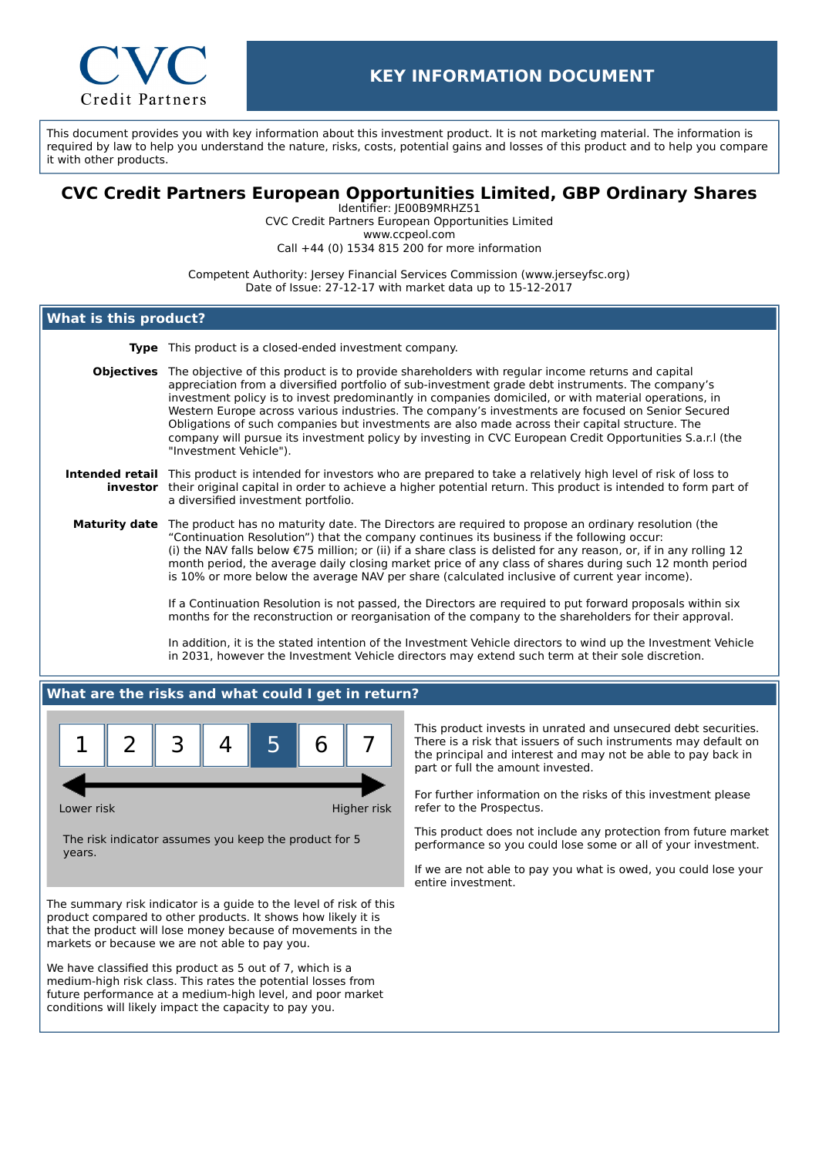

This document provides you with key information about this investment product. It is not marketing material. The information is required by law to help you understand the nature, risks, costs, potential gains and losses of this product and to help you compare it with other products.

# **CVC Credit Partners European Opportunities Limited, GBP Ordinary Shares**

Identifier: JE00B9MRHZ51 CVC Credit Partners European Opportunities Limited www.ccpeol.com Call +44 (0) 1534 815 200 for more information

Competent Authority: Jersey Financial Services Commission (www.jerseyfsc.org) Date of Issue: 27-12-17 with market data up to 15-12-2017

## **What is this product?**

**Type** This product is a closed-ended investment company.

**Objectives** The objective of this product is to provide shareholders with regular income returns and capital appreciation from a diversified portfolio of sub-investment grade debt instruments. The company's investment policy is to invest predominantly in companies domiciled, or with material operations, in Western Europe across various industries. The company's investments are focused on Senior Secured Obligations of such companies but investments are also made across their capital structure. The company will pursue its investment policy by investing in CVC European Credit Opportunities S.a.r.l (the "Investment Vehicle").

#### **Intended retail** This product is intended for investors who are prepared to take a relatively high level of risk of loss to **investor** their original capital in order to achieve a higher potential return. This product is intended to form part of a diversified investment portfolio.

**Maturity date** The product has no maturity date. The Directors are required to propose an ordinary resolution (the "Continuation Resolution") that the company continues its business if the following occur: (i) the NAV falls below €75 million; or (ii) if a share class is delisted for any reason, or, if in any rolling 12 month period, the average daily closing market price of any class of shares during such 12 month period is 10% or more below the average NAV per share (calculated inclusive of current year income).

> If a Continuation Resolution is not passed, the Directors are required to put forward proposals within six months for the reconstruction or reorganisation of the company to the shareholders for their approval.

In addition, it is the stated intention of the Investment Vehicle directors to wind up the Investment Vehicle in 2031, however the Investment Vehicle directors may extend such term at their sole discretion.

## **What are the risks and what could I get in return?**



Lower risk **Higher risk** Higher risk

The risk indicator assumes you keep the product for 5 years.

The summary risk indicator is a guide to the level of risk of this product compared to other products. It shows how likely it is that the product will lose money because of movements in the markets or because we are not able to pay you.

We have classified this product as 5 out of 7, which is a medium-high risk class. This rates the potential losses from future performance at a medium-high level, and poor market conditions will likely impact the capacity to pay you.

This product invests in unrated and unsecured debt securities. There is a risk that issuers of such instruments may default on the principal and interest and may not be able to pay back in part or full the amount invested.

For further information on the risks of this investment please refer to the Prospectus.

This product does not include any protection from future market performance so you could lose some or all of your investment.

If we are not able to pay you what is owed, you could lose your entire investment.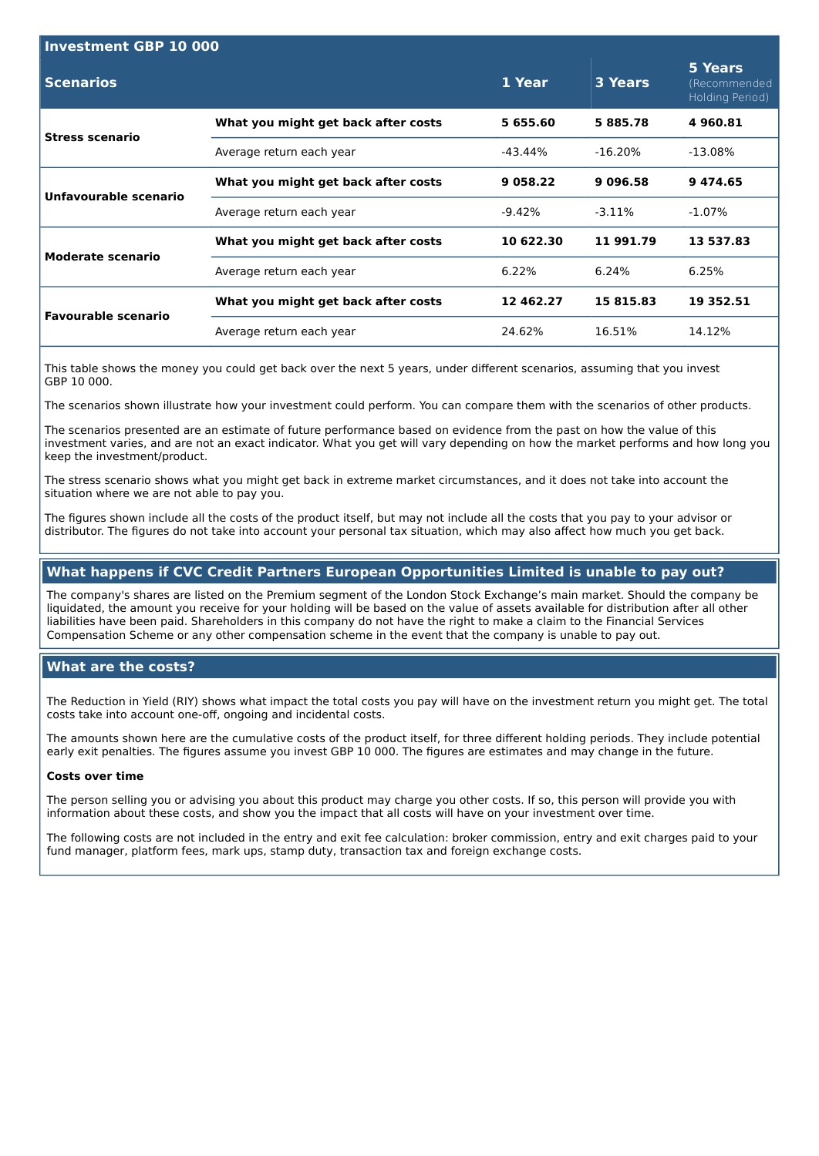| <b>Investment GBP 10 000</b> |                                     |               |                |                                            |  |  |
|------------------------------|-------------------------------------|---------------|----------------|--------------------------------------------|--|--|
| <b>Scenarios</b>             |                                     | 1 Year        | <b>3 Years</b> | 5 Years<br>(Recommended<br>Holding Period) |  |  |
| <b>Stress scenario</b>       | What you might get back after costs | 5 655.60      | 5885.78        | 4960.81                                    |  |  |
|                              | Average return each year            | -43.44%       | $-16.20\%$     | $-13.08\%$                                 |  |  |
| Unfavourable scenario        | What you might get back after costs | 9 0 5 8 . 2 2 | 9 0 9 6 .58    | 9474.65                                    |  |  |
|                              | Average return each year            | -9.42%        | $-3.11\%$      | $-1.07\%$                                  |  |  |
| Moderate scenario            | What you might get back after costs | 10 622.30     | 11 991.79      | 13 537.83                                  |  |  |
|                              | Average return each year            | 6.22%         | 6.24%          | 6.25%                                      |  |  |
| <b>Favourable scenario</b>   | What you might get back after costs | 12 462.27     | 15 815.83      | 19 352.51                                  |  |  |
|                              | Average return each year            | 24.62%        | 16.51%         | 14.12%                                     |  |  |

This table shows the money you could get back over the next 5 years, under different scenarios, assuming that you invest GBP 10 000.

The scenarios shown illustrate how your investment could perform. You can compare them with the scenarios of other products.

The scenarios presented are an estimate of future performance based on evidence from the past on how the value of this investment varies, and are not an exact indicator. What you get will vary depending on how the market performs and how long you keep the investment/product.

The stress scenario shows what you might get back in extreme market circumstances, and it does not take into account the situation where we are not able to pay you.

The figures shown include all the costs of the product itself, but may not include all the costs that you pay to your advisor or distributor. The figures do not take into account your personal tax situation, which may also affect how much you get back.

## **What happens if CVC Credit Partners European Opportunities Limited is unable to pay out?**

The company's shares are listed on the Premium segment of the London Stock Exchange's main market. Should the company be liquidated, the amount you receive for your holding will be based on the value of assets available for distribution after all other liabilities have been paid. Shareholders in this company do not have the right to make a claim to the Financial Services Compensation Scheme or any other compensation scheme in the event that the company is unable to pay out.

## **What are the costs?**

The Reduction in Yield (RIY) shows what impact the total costs you pay will have on the investment return you might get. The total costs take into account one-off, ongoing and incidental costs.

The amounts shown here are the cumulative costs of the product itself, for three different holding periods. They include potential early exit penalties. The figures assume you invest GBP 10 000. The figures are estimates and may change in the future.

#### **Costs over time**

The person selling you or advising you about this product may charge you other costs. If so, this person will provide you with information about these costs, and show you the impact that all costs will have on your investment over time.

The following costs are not included in the entry and exit fee calculation: broker commission, entry and exit charges paid to your fund manager, platform fees, mark ups, stamp duty, transaction tax and foreign exchange costs.